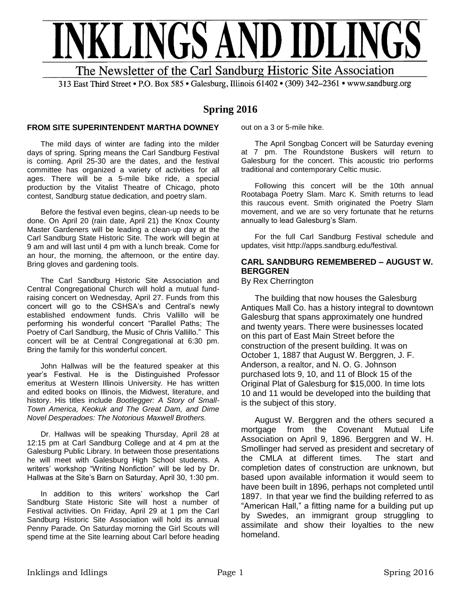

313 East Third Street • P.O. Box 585 • Galesburg, Illinois 61402 • (309) 342-2361 • www.sandburg.org

## **Spring 2016**

#### **FROM SITE SUPERINTENDENT MARTHA DOWNEY**

The mild days of winter are fading into the milder days of spring. Spring means the Carl Sandburg Festival is coming. April 25-30 are the dates, and the festival committee has organized a variety of activities for all ages. There will be a 5-mile bike ride, a special production by the Vitalist Theatre of Chicago, photo contest, Sandburg statue dedication, and poetry slam.

Before the festival even begins, clean-up needs to be done. On April 20 (rain date, April 21) the Knox County Master Gardeners will be leading a clean-up day at the Carl Sandburg State Historic Site. The work will begin at 9 am and will last until 4 pm with a lunch break. Come for an hour, the morning, the afternoon, or the entire day. Bring gloves and gardening tools.

The Carl Sandburg Historic Site Association and Central Congregational Church will hold a mutual fundraising concert on Wednesday, April 27. Funds from this concert will go to the CSHSA's and Central's newly established endowment funds. Chris Vallillo will be performing his wonderful concert "Parallel Paths; The Poetry of Carl Sandburg, the Music of Chris Vallillo." This concert will be at Central Congregational at 6:30 pm. Bring the family for this wonderful concert.

John Hallwas will be the featured speaker at this year's Festival. He is the Distinguished Professor emeritus at Western Illinois University. He has written and edited books on Illinois, the Midwest, literature, and history. His titles include *Bootlegger: A Story of Small-Town America, Keokuk and The Great Dam, and Dime Novel Desperadoes: The Notorious Maxwell Brothers.* 

Dr. Hallwas will be speaking Thursday, April 28 at 12:15 pm at Carl Sandburg College and at 4 pm at the Galesburg Public Library. In between those presentations he will meet with Galesburg High School students. A writers' workshop "Writing Nonfiction" will be led by Dr. Hallwas at the Site's Barn on Saturday, April 30, 1:30 pm.

In addition to this writers' workshop the Carl Sandburg State Historic Site will host a number of Festival activities. On Friday, April 29 at 1 pm the Carl Sandburg Historic Site Association will hold its annual Penny Parade. On Saturday morning the Girl Scouts will spend time at the Site learning about Carl before heading out on a 3 or 5-mile hike.

The April Songbag Concert will be Saturday evening at 7 pm. The Roundstone Buskers will return to Galesburg for the concert. This acoustic trio performs traditional and contemporary Celtic music.

Following this concert will be the 10th annual Rootabaga Poetry Slam. Marc K. Smith returns to lead this raucous event. Smith originated the Poetry Slam movement, and we are so very fortunate that he returns annually to lead Galesburg's Slam.

For the full Carl Sandburg Festival schedule and updates, visit http://apps.sandburg.edu/festival.

## **CARL SANDBURG REMEMBERED – AUGUST W. BERGGREN**

By Rex Cherrington

The building that now houses the Galesburg Antiques Mall Co. has a history integral to downtown Galesburg that spans approximately one hundred and twenty years. There were businesses located on this part of East Main Street before the construction of the present building. It was on October 1, 1887 that August W. Berggren, J. F. Anderson, a realtor, and N. O. G. Johnson purchased lots 9, 10, and 11 of Block 15 of the Original Plat of Galesburg for \$15,000. In time lots 10 and 11 would be developed into the building that is the subject of this story.

August W. Berggren and the others secured a mortgage from the Covenant Mutual Life Association on April 9, 1896. Berggren and W. H. Smollinger had served as president and secretary of the CMLA at different times. The start and completion dates of construction are unknown, but based upon available information it would seem to have been built in 1896, perhaps not completed until 1897. In that year we find the building referred to as "American Hall," a fitting name for a building put up by Swedes, an immigrant group struggling to assimilate and show their loyalties to the new homeland.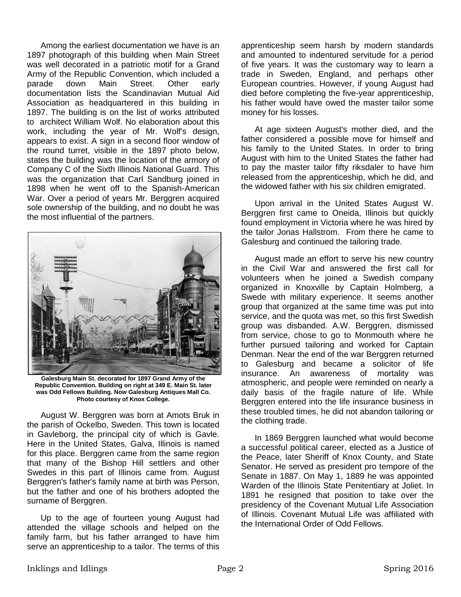Among the earliest documentation we have is an 1897 photograph of this building when Main Street was well decorated in a patriotic motif for a Grand Army of the Republic Convention, which included a parade down Main Street. Other early documentation lists the Scandinavian Mutual Aid Association as headquartered in this building in 1897. The building is on the list of works attributed to architect William Wolf. No elaboration about this work, including the year of Mr. Wolf's design, appears to exist. A sign in a second floor window of the round turret, visible in the 1897 photo below, states the building was the location of the armory of Company C of the Sixth Illinois National Guard. This was the organization that Carl Sandburg joined in 1898 when he went off to the Spanish-American War. Over a period of years Mr. Berggren acquired sole ownership of the building, and no doubt he was the most influential of the partners.



**Galesburg Main St. decorated for 1897 Grand Army of the Republic Convention. Building on right at 349 E. Main St. later was Odd Fellows Building. Now Galesburg Antiques Mall Co. Photo courtesy of Knox College.**

August W. Berggren was born at Amots Bruk in the parish of Ockelbo, Sweden. This town is located in Gavleborg, the principal city of which is Gavle. Here in the United States, Galva, Illinois is named for this place. Berggren came from the same region that many of the Bishop Hill settlers and other Swedes in this part of Illinois came from. August Berggren's father's family name at birth was Person, but the father and one of his brothers adopted the surname of Berggren.

Up to the age of fourteen young August had attended the village schools and helped on the family farm, but his father arranged to have him serve an apprenticeship to a tailor. The terms of this

apprenticeship seem harsh by modern standards and amounted to indentured servitude for a period of five years. It was the customary way to learn a trade in Sweden, England, and perhaps other European countries. However, if young August had died before completing the five-year apprenticeship, his father would have owed the master tailor some money for his losses.

At age sixteen August's mother died, and the father considered a possible move for himself and his family to the United States. In order to bring August with him to the United States the father had to pay the master tailor fifty riksdaler to have him released from the apprenticeship, which he did, and the widowed father with his six children emigrated.

Upon arrival in the United States August W. Berggren first came to Oneida, Illinois but quickly found employment in Victoria where he was hired by the tailor Jonas Hallstrom. From there he came to Galesburg and continued the tailoring trade.

August made an effort to serve his new country in the Civil War and answered the first call for volunteers when he joined a Swedish company organized in Knoxville by Captain Holmberg, a Swede with military experience. It seems another group that organized at the same time was put into service, and the quota was met, so this first Swedish group was disbanded. A.W. Berggren, dismissed from service, chose to go to Monmouth where he further pursued tailoring and worked for Captain Denman. Near the end of the war Berggren returned to Galesburg and became a solicitor of life insurance. An awareness of mortality was atmospheric, and people were reminded on nearly a daily basis of the fragile nature of life. While Berggren entered into the life insurance business in these troubled times, he did not abandon tailoring or the clothing trade.

In 1869 Berggren launched what would become a successful political career, elected as a Justice of the Peace, later Sheriff of Knox County, and State Senator. He served as president pro tempore of the Senate in 1887. On May 1, 1889 he was appointed Warden of the Illinois State Penitentiary at Joliet. In 1891 he resigned that position to take over the presidency of the Covenant Mutual Life Association of Illinois. Covenant Mutual Life was affiliated with the International Order of Odd Fellows.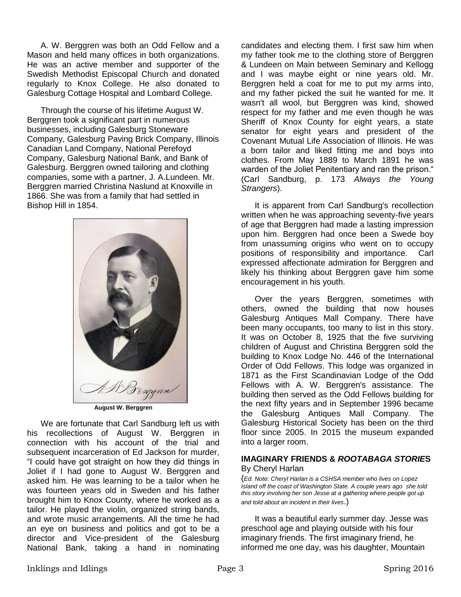A. W. Berggren was both an Odd Fellow and a Mason and held many offices in both organizations. He was an active member and supporter of the Swedish Methodist Episcopal Church and donated regularly to Knox College. He also donated to Galesburg Cottage Hospital and Lombard College.

Through the course of his lifetime August W. Berggren took a significant part in numerous businesses, including Galesburg Stoneware Company, Galesburg Paving Brick Company, Illinois Canadian Land Company, National Perefoyd Company, Galesburg National Bank, and Bank of Galesburg. Berggren owned tailoring and clothing companies, some with a partner, J. A.Lundeen. Mr. Berggren married Christina Naslund at Knoxville in 1866. She was from a family that had settled in Bishop Hill in 1854.



We are fortunate that Carl Sandburg left us with his recollections of August W. Berggren in connection with his account of the trial and subsequent incarceration of Ed Jackson for murder, "I could have got straight on how they did things in Joliet if I had gone to August W. Berggren and asked him. He was learning to be a tailor when he was fourteen years old in Sweden and his father brought him to Knox County, where he worked as a tailor. He played the violin, organized string bands, and wrote music arrangements. All the time he had an eye on business and politics and got to be a director and Vice-president of the Galesburg National Bank, taking a hand in nominating candidates and electing them. I first saw him when my father took me to the clothing store of Berggren & Lundeen on Main between Seminary and Kellogg and I was maybe eight or nine years old. Mr. Berggren held a coat for me to put my arms into, and my father picked the suit he wanted for me. It wasn't all wool, but Berggren was kind, showed respect for my father and me even though he was Sheriff of Knox County for eight years, a state senator for eight years and president of the Covenant Mutual Life Association of Illinois. He was a born tailor and liked fitting me and boys into clothes. From May 1889 to March 1891 he was warden of the Joliet Penitentiary and ran the prison." (Carl Sandburg, p. 173 *Always the Young Strangers*).

It is apparent from Carl Sandburg's recollection written when he was approaching seventy-five years of age that Berggren had made a lasting impression upon him. Berggren had once been a Swede boy from unassuming origins who went on to occupy positions of responsibility and importance. Carl expressed affectionate admiration for Berggren and likely his thinking about Berggren gave him some encouragement in his youth.

Over the years Berggren, sometimes with others, owned the building that now houses Galesburg Antiques Mall Company. There have been many occupants, too many to list in this story. It was on October 8, 1925 that the five surviving children of August and Christina Berggren sold the building to Knox Lodge No. 446 of the International Order of Odd Fellows. This lodge was organized in 1871 as the First Scandinavian Lodge of the Odd Fellows with A. W. Berggren's assistance. The building then served as the Odd Fellows building for the next fifty years and in September 1996 became the Galesburg Antiques Mall Company. The Galesburg Historical Society has been on the third floor since 2005. In 2015 the museum expanded into a larger room.

#### **IMAGINARY FRIENDS &** *ROOTABAGA STORIE***S**  By Cheryl Harlan

(*Ed. Note: Cheryl Harlan is a CSHSA member who lives on Lopez Island off the coast of Washington State. A couple years ago she told this story involving her son Jesse at a gathering where people got up and told about an incident in their lives*.)

It was a beautiful early summer day. Jesse was preschool age and playing outside with his four imaginary friends. The first imaginary friend, he informed me one day, was his daughter, Mountain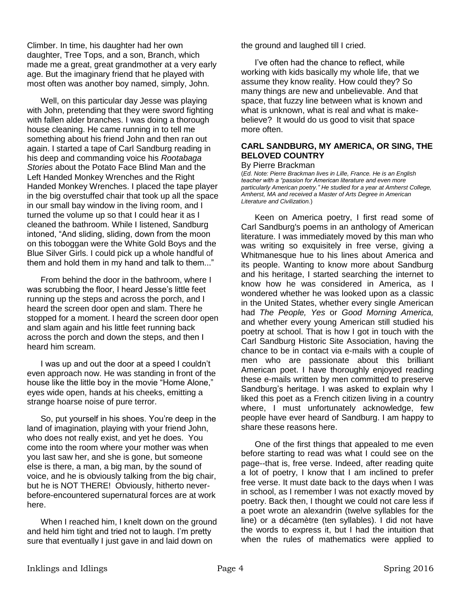Climber. In time, his daughter had her own daughter, Tree Tops, and a son, Branch, which made me a great, great grandmother at a very early age. But the imaginary friend that he played with most often was another boy named, simply, John.

Well, on this particular day Jesse was playing with John, pretending that they were sword fighting with fallen alder branches. I was doing a thorough house cleaning. He came running in to tell me something about his friend John and then ran out again. I started a tape of Carl Sandburg reading in his deep and commanding voice his *Rootabaga Stories* about the Potato Face Blind Man and the Left Handed Monkey Wrenches and the Right Handed Monkey Wrenches. I placed the tape player in the big overstuffed chair that took up all the space in our small bay window in the living room, and I turned the volume up so that I could hear it as I cleaned the bathroom. While I listened, Sandburg intoned, "And sliding, sliding, down from the moon on this toboggan were the White Gold Boys and the Blue Silver Girls. I could pick up a whole handful of them and hold them in my hand and talk to them..."

From behind the door in the bathroom, where I was scrubbing the floor, I heard Jesse's little feet running up the steps and across the porch, and I heard the screen door open and slam. There he stopped for a moment. I heard the screen door open and slam again and his little feet running back across the porch and down the steps, and then I heard him scream.

I was up and out the door at a speed I couldn't even approach now. He was standing in front of the house like the little boy in the movie "Home Alone," eyes wide open, hands at his cheeks, emitting a strange hoarse noise of pure terror.

So, put yourself in his shoes. You're deep in the land of imagination, playing with your friend John, who does not really exist, and yet he does. You come into the room where your mother was when you last saw her, and she is gone, but someone else is there, a man, a big man, by the sound of voice, and he is obviously talking from the big chair, but he is NOT THERE! Obviously, hitherto neverbefore-encountered supernatural forces are at work here.

When I reached him, I knelt down on the ground and held him tight and tried not to laugh. I'm pretty sure that eventually I just gave in and laid down on

the ground and laughed till I cried.

I've often had the chance to reflect, while working with kids basically my whole life, that we assume they know reality. How could they? So many things are new and unbelievable. And that space, that fuzzy line between what is known and what is unknown, what is real and what is makebelieve? It would do us good to visit that space more often.

### **CARL SANDBURG, MY AMERICA, OR SING, THE BELOVED COUNTRY**

#### By Pierre Brackman

(*Ed. Note: Pierre Brackman lives in Lille, France. He is an English teacher with a "passion for American literature and even more particularly American poetry." He studied for a year at Amherst College, Amherst, MA and received a Master of Arts Degree in American Literature and Civilization.*)

Keen on America poetry, I first read some of Carl Sandburg's poems in an anthology of American literature. I was immediately moved by this man who was writing so exquisitely in free verse, giving a Whitmanesque hue to his lines about America and its people. Wanting to know more about Sandburg and his heritage, I started searching the internet to know how he was considered in America, as I wondered whether he was looked upon as a classic in the United States, whether every single American had *The People, Yes* or *Good Morning America,*  and whether every young American still studied his poetry at school. That is how I got in touch with the Carl Sandburg Historic Site Association, having the chance to be in contact via e-mails with a couple of men who are passionate about this brilliant American poet. I have thoroughly enjoyed reading these e-mails written by men committed to preserve Sandburg's heritage. I was asked to explain why I liked this poet as a French citizen living in a country where, I must unfortunately acknowledge, few people have ever heard of Sandburg. I am happy to share these reasons here.

One of the first things that appealed to me even before starting to read was what I could see on the page--that is, free verse. Indeed, after reading quite a lot of poetry, I know that I am inclined to prefer free verse. It must date back to the days when I was in school, as I remember I was not exactly moved by poetry. Back then, I thought we could not care less if a poet wrote an alexandrin (twelve syllables for the line) or a décamètre (ten syllables). I did not have the words to express it, but I had the intuition that when the rules of mathematics were applied to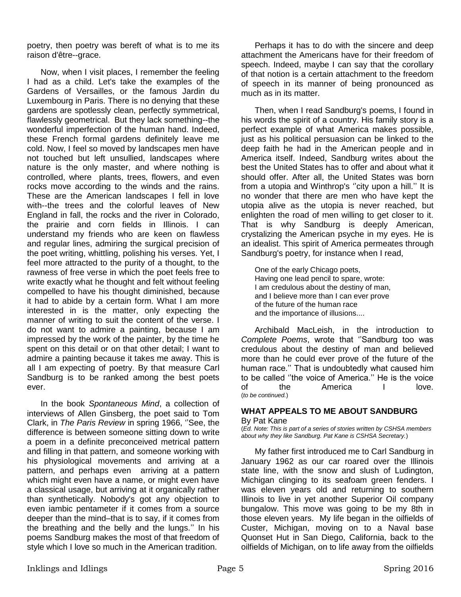poetry, then poetry was bereft of what is to me its raison d'être--grace.

Now, when I visit places, I remember the feeling I had as a child. Let's take the examples of the Gardens of Versailles, or the famous Jardin du Luxembourg in Paris. There is no denying that these gardens are spotlessly clean, perfectly symmetrical, flawlessly geometrical. But they lack something--the wonderful imperfection of the human hand. Indeed, these French formal gardens definitely leave me cold. Now, I feel so moved by landscapes men have not touched but left unsullied, landscapes where nature is the only master, and where nothing is controlled, where plants, trees, flowers, and even rocks move according to the winds and the rains. These are the American landscapes I fell in love with--the trees and the colorful leaves of New England in fall, the rocks and the river in Colorado, the prairie and corn fields in Illinois. I can understand my friends who are keen on flawless and regular lines, admiring the surgical precision of the poet writing, whittling, polishing his verses. Yet, I feel more attracted to the purity of a thought, to the rawness of free verse in which the poet feels free to write exactly what he thought and felt without feeling compelled to have his thought diminished, because it had to abide by a certain form. What I am more interested in is the matter, only expecting the manner of writing to suit the content of the verse. I do not want to admire a painting, because I am impressed by the work of the painter, by the time he spent on this detail or on that other detail; I want to admire a painting because it takes me away. This is all I am expecting of poetry. By that measure Carl Sandburg is to be ranked among the best poets ever.

In the book *Spontaneous Mind*, a collection of interviews of Allen Ginsberg, the poet said to Tom Clark, in *The Paris Review* in spring 1966, ''See, the difference is between someone sitting down to write a poem in a definite preconceived metrical pattern and filling in that pattern, and someone working with his physiological movements and arriving at a pattern, and perhaps even arriving at a pattern which might even have a name, or might even have a classical usage, but arriving at it organically rather than synthetically. Nobody's got any objection to even iambic pentameter if it comes from a source deeper than the mind–that is to say, if it comes from the breathing and the belly and the lungs.'' In his poems Sandburg makes the most of that freedom of style which I love so much in the American tradition.

Perhaps it has to do with the sincere and deep attachment the Americans have for their freedom of speech. Indeed, maybe I can say that the corollary of that notion is a certain attachment to the freedom of speech in its manner of being pronounced as much as in its matter.

Then, when I read Sandburg's poems, I found in his words the spirit of a country. His family story is a perfect example of what America makes possible, just as his political persuasion can be linked to the deep faith he had in the American people and in America itself. Indeed, Sandburg writes about the best the United States has to offer and about what it should offer. After all, the United States was born from a utopia and Winthrop's ''city upon a hill.'' It is no wonder that there are men who have kept the utopia alive as the utopia is never reached, but enlighten the road of men willing to get closer to it. That is why Sandburg is deeply American, crystalizing the American psyche in my eyes. He is an idealist. This spirit of America permeates through Sandburg's poetry, for instance when I read,

One of the early Chicago poets, Having one lead pencil to spare, wrote: I am credulous about the destiny of man, and I believe more than I can ever prove of the future of the human race and the importance of illusions....

Archibald MacLeish, in the introduction to *Complete Poems*, wrote that ''Sandburg too was credulous about the destiny of man and believed more than he could ever prove of the future of the human race.'' That is undoubtedly what caused him to be called ''the voice of America.'' He is the voice of the America I love. (*to be continued.*)

# **WHAT APPEALS TO ME ABOUT SANDBURG**

#### By Pat Kane

(*Ed. Note: This is part of a series of stories written by CSHSA members about why they like Sandburg. Pat Kane is CSHSA Secretary.*)

My father first introduced me to Carl Sandburg in January 1962 as our car roared over the Illinois state line, with the snow and slush of Ludington, Michigan clinging to its seafoam green fenders. I was eleven years old and returning to southern Illinois to live in yet another Superior Oil company bungalow. This move was going to be my 8th in those eleven years. My life began in the oilfields of Custer, Michigan, moving on to a Naval base Quonset Hut in San Diego, California, back to the oilfields of Michigan, on to life away from the oilfields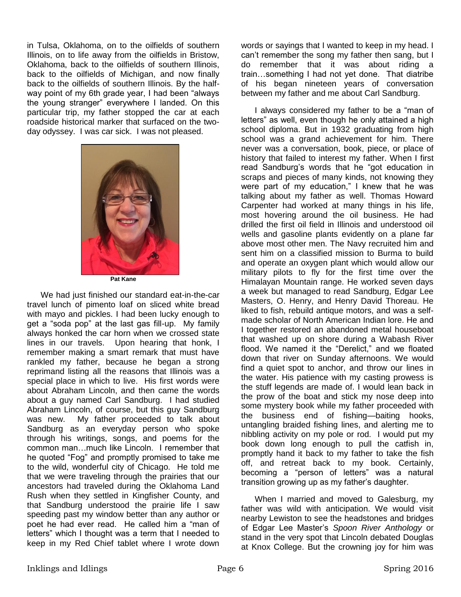in Tulsa, Oklahoma, on to the oilfields of southern Illinois, on to life away from the oilfields in Bristow, Oklahoma, back to the oilfields of southern Illinois, back to the oilfields of Michigan, and now finally back to the oilfields of southern Illinois. By the halfway point of my 6th grade year, I had been "always the young stranger" everywhere I landed. On this particular trip, my father stopped the car at each roadside historical marker that surfaced on the twoday odyssey. I was car sick. I was not pleased.



**Pat Kane**

We had just finished our standard eat-in-the-car travel lunch of pimento loaf on sliced white bread with mayo and pickles. I had been lucky enough to get a "soda pop" at the last gas fill-up. My family always honked the car horn when we crossed state lines in our travels. Upon hearing that honk, I remember making a smart remark that must have rankled my father, because he began a strong reprimand listing all the reasons that Illinois was a special place in which to live. His first words were about Abraham Lincoln, and then came the words about a guy named Carl Sandburg. I had studied Abraham Lincoln, of course, but this guy Sandburg was new. My father proceeded to talk about Sandburg as an everyday person who spoke through his writings, songs, and poems for the common man…much like Lincoln. I remember that he quoted "Fog" and promptly promised to take me to the wild, wonderful city of Chicago. He told me that we were traveling through the prairies that our ancestors had traveled during the Oklahoma Land Rush when they settled in Kingfisher County, and that Sandburg understood the prairie life I saw speeding past my window better than any author or poet he had ever read. He called him a "man of letters" which I thought was a term that I needed to keep in my Red Chief tablet where I wrote down words or sayings that I wanted to keep in my head. I can't remember the song my father then sang, but I do remember that it was about riding a train…something I had not yet done. That diatribe of his began nineteen years of conversation between my father and me about Carl Sandburg.

I always considered my father to be a "man of letters" as well, even though he only attained a high school diploma. But in 1932 graduating from high school was a grand achievement for him. There never was a conversation, book, piece, or place of history that failed to interest my father. When I first read Sandburg's words that he "got education in scraps and pieces of many kinds, not knowing they were part of my education," I knew that he was talking about my father as well. Thomas Howard Carpenter had worked at many things in his life, most hovering around the oil business. He had drilled the first oil field in Illinois and understood oil wells and gasoline plants evidently on a plane far above most other men. The Navy recruited him and sent him on a classified mission to Burma to build and operate an oxygen plant which would allow our military pilots to fly for the first time over the Himalayan Mountain range. He worked seven days a week but managed to read Sandburg, Edgar Lee Masters, O. Henry, and Henry David Thoreau. He liked to fish, rebuild antique motors, and was a selfmade scholar of North American Indian lore. He and I together restored an abandoned metal houseboat that washed up on shore during a Wabash River flood. We named it the "Derelict," and we floated down that river on Sunday afternoons. We would find a quiet spot to anchor, and throw our lines in the water. His patience with my casting prowess is the stuff legends are made of. I would lean back in the prow of the boat and stick my nose deep into some mystery book while my father proceeded with the business end of fishing—baiting hooks, untangling braided fishing lines, and alerting me to nibbling activity on my pole or rod. I would put my book down long enough to pull the catfish in, promptly hand it back to my father to take the fish off, and retreat back to my book. Certainly, becoming a "person of letters" was a natural transition growing up as my father's daughter.

When I married and moved to Galesburg, my father was wild with anticipation. We would visit nearby Lewiston to see the headstones and bridges of Edgar Lee Master's *Spoon River Anthology* or stand in the very spot that Lincoln debated Douglas at Knox College. But the crowning joy for him was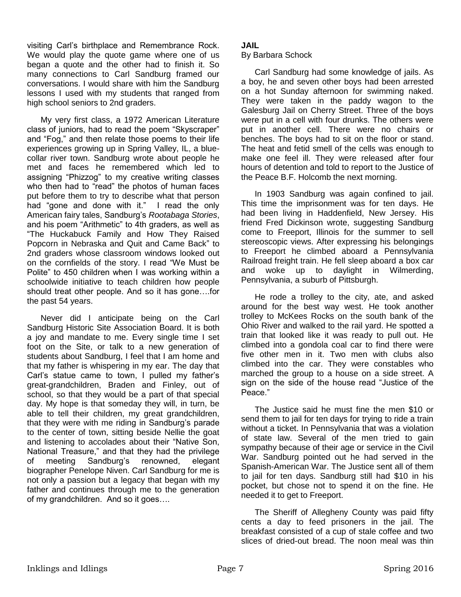visiting Carl's birthplace and Remembrance Rock. We would play the quote game where one of us began a quote and the other had to finish it. So many connections to Carl Sandburg framed our conversations. I would share with him the Sandburg lessons I used with my students that ranged from high school seniors to 2nd graders.

My very first class, a 1972 American Literature class of juniors, had to read the poem "Skyscraper" and "Fog," and then relate those poems to their life experiences growing up in Spring Valley, IL, a bluecollar river town. Sandburg wrote about people he met and faces he remembered which led to assigning "Phizzog" to my creative writing classes who then had to "read" the photos of human faces put before them to try to describe what that person had "gone and done with it." I read the only American fairy tales, Sandburg's *Rootabaga Stories*, and his poem "Arithmetic" to 4th graders, as well as "The Huckabuck Family and How They Raised Popcorn in Nebraska and Quit and Came Back" to 2nd graders whose classroom windows looked out on the cornfields of the story. I read "We Must be Polite" to 450 children when I was working within a schoolwide initiative to teach children how people should treat other people. And so it has gone….for the past 54 years.

Never did I anticipate being on the Carl Sandburg Historic Site Association Board. It is both a joy and mandate to me. Every single time I set foot on the Site, or talk to a new generation of students about Sandburg, I feel that I am home and that my father is whispering in my ear. The day that Carl's statue came to town, I pulled my father's great-grandchildren, Braden and Finley, out of school, so that they would be a part of that special day. My hope is that someday they will, in turn, be able to tell their children, my great grandchildren, that they were with me riding in Sandburg's parade to the center of town, sitting beside Nellie the goat and listening to accolades about their "Native Son, National Treasure," and that they had the privilege of meeting Sandburg's renowned, elegant biographer Penelope Niven. Carl Sandburg for me is not only a passion but a legacy that began with my father and continues through me to the generation of my grandchildren. And so it goes….

## **JAIL**

#### By Barbara Schock

Carl Sandburg had some knowledge of jails. As a boy, he and seven other boys had been arrested on a hot Sunday afternoon for swimming naked. They were taken in the paddy wagon to the Galesburg Jail on Cherry Street. Three of the boys were put in a cell with four drunks. The others were put in another cell. There were no chairs or benches. The boys had to sit on the floor or stand. The heat and fetid smell of the cells was enough to make one feel ill. They were released after four hours of detention and told to report to the Justice of the Peace B.F. Holcomb the next morning.

In 1903 Sandburg was again confined to jail. This time the imprisonment was for ten days. He had been living in Haddenfield, New Jersey. His friend Fred Dickinson wrote, suggesting Sandburg come to Freeport, Illinois for the summer to sell stereoscopic views. After expressing his belongings to Freeport he climbed aboard a Pennsylvania Railroad freight train. He fell sleep aboard a box car and woke up to daylight in Wilmerding, Pennsylvania, a suburb of Pittsburgh.

He rode a trolley to the city, ate, and asked around for the best way west. He took another trolley to McKees Rocks on the south bank of the Ohio River and walked to the rail yard. He spotted a train that looked like it was ready to pull out. He climbed into a gondola coal car to find there were five other men in it. Two men with clubs also climbed into the car. They were constables who marched the group to a house on a side street. A sign on the side of the house read "Justice of the Peace."

The Justice said he must fine the men \$10 or send them to jail for ten days for trying to ride a train without a ticket. In Pennsylvania that was a violation of state law. Several of the men tried to gain sympathy because of their age or service in the Civil War. Sandburg pointed out he had served in the Spanish-American War. The Justice sent all of them to jail for ten days. Sandburg still had \$10 in his pocket, but chose not to spend it on the fine. He needed it to get to Freeport.

The Sheriff of Allegheny County was paid fifty cents a day to feed prisoners in the jail. The breakfast consisted of a cup of stale coffee and two slices of dried-out bread. The noon meal was thin